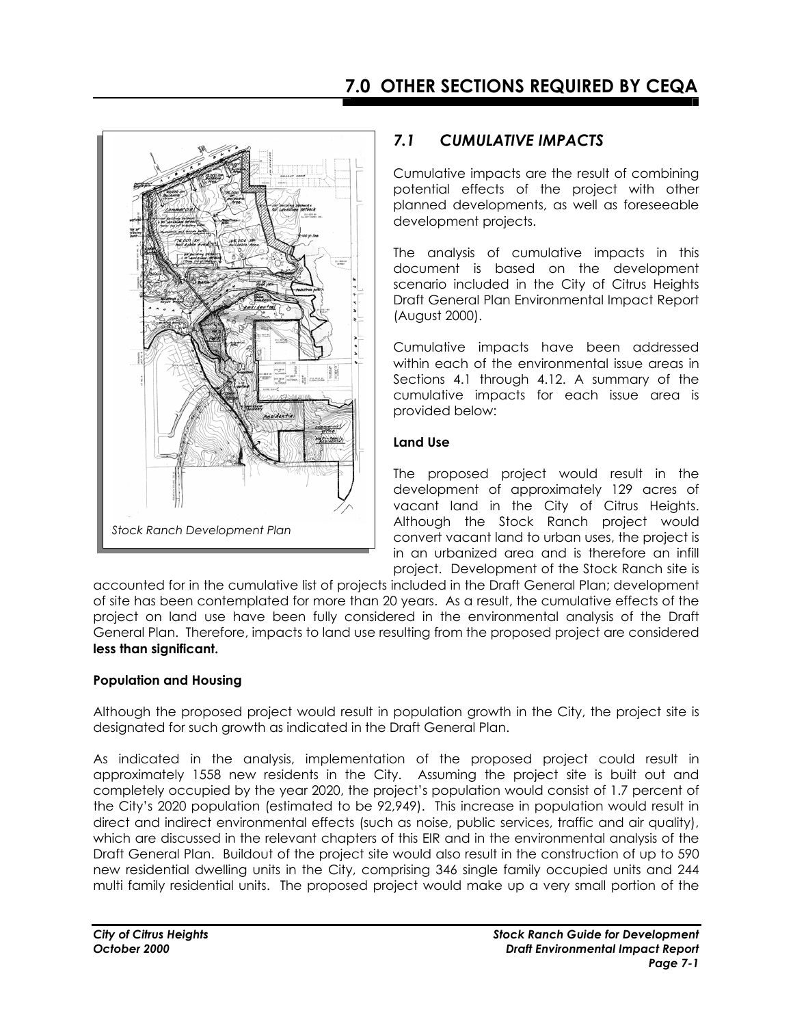

## *7.1 CUMULATIVE IMPACTS*

Cumulative impacts are the result of combining potential effects of the project with other planned developments, as well as foreseeable development projects.

The analysis of cumulative impacts in this document is based on the development scenario included in the City of Citrus Heights Draft General Plan Environmental Impact Report (August 2000).

Cumulative impacts have been addressed within each of the environmental issue areas in Sections 4.1 through 4.12. A summary of the cumulative impacts for each issue area is provided below:

### **Land Use**

The proposed project would result in the development of approximately 129 acres of vacant land in the City of Citrus Heights. Although the Stock Ranch project would convert vacant land to urban uses, the project is in an urbanized area and is therefore an infill project. Development of the Stock Ranch site is

accounted for in the cumulative list of projects included in the Draft General Plan; development of site has been contemplated for more than 20 years. As a result, the cumulative effects of the project on land use have been fully considered in the environmental analysis of the Draft General Plan. Therefore, impacts to land use resulting from the proposed project are considered **less than significant.**

### **Population and Housing**

Although the proposed project would result in population growth in the City, the project site is designated for such growth as indicated in the Draft General Plan.

As indicated in the analysis, implementation of the proposed project could result in approximately 1558 new residents in the City. Assuming the project site is built out and completely occupied by the year 2020, the project's population would consist of 1.7 percent of the City's 2020 population (estimated to be 92,949). This increase in population would result in direct and indirect environmental effects (such as noise, public services, traffic and air quality), which are discussed in the relevant chapters of this EIR and in the environmental analysis of the Draft General Plan. Buildout of the project site would also result in the construction of up to 590 new residential dwelling units in the City, comprising 346 single family occupied units and 244 multi family residential units. The proposed project would make up a very small portion of the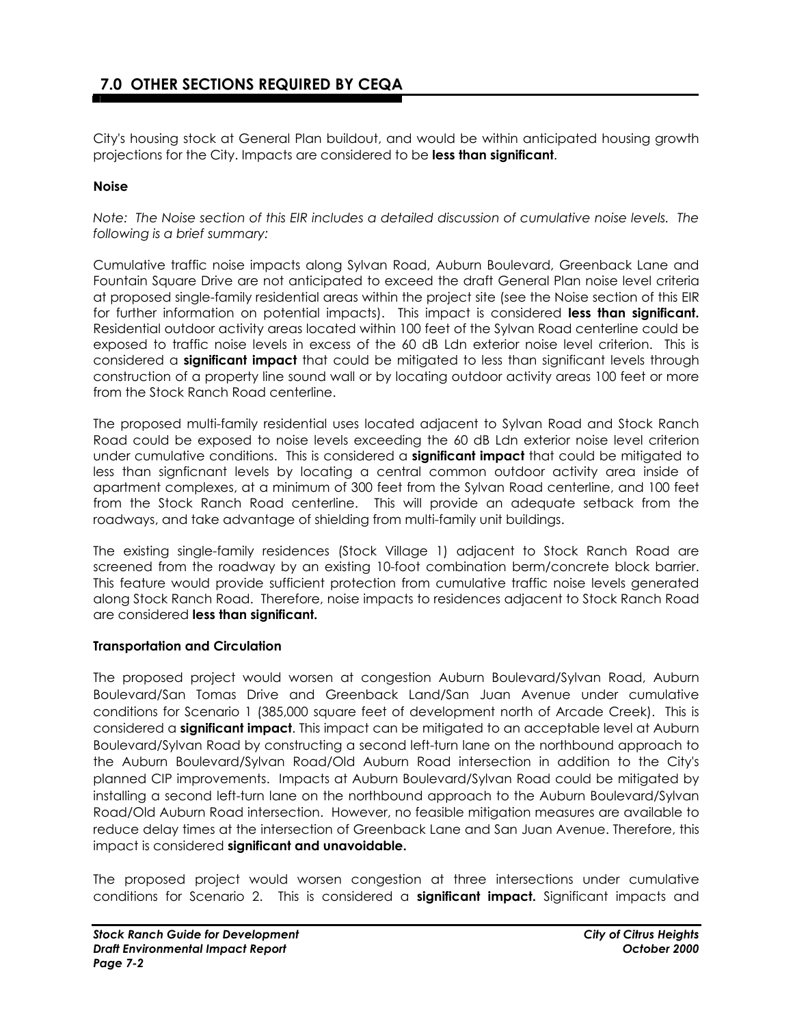# **7.0 OTHER SECTIONS REQUIRED BY CEQA**

City's housing stock at General Plan buildout, and would be within anticipated housing growth projections for the City. Impacts are considered to be **less than significant**.

#### **Noise**

*Note: The Noise section of this EIR includes a detailed discussion of cumulative noise levels. The following is a brief summary:* 

Cumulative traffic noise impacts along Sylvan Road, Auburn Boulevard, Greenback Lane and Fountain Square Drive are not anticipated to exceed the draft General Plan noise level criteria at proposed single-family residential areas within the project site (see the Noise section of this EIR for further information on potential impacts). This impact is considered **less than significant.** Residential outdoor activity areas located within 100 feet of the Sylvan Road centerline could be exposed to traffic noise levels in excess of the 60 dB Ldn exterior noise level criterion. This is considered a **significant impact** that could be mitigated to less than significant levels through construction of a property line sound wall or by locating outdoor activity areas 100 feet or more from the Stock Ranch Road centerline.

The proposed multi-family residential uses located adjacent to Sylvan Road and Stock Ranch Road could be exposed to noise levels exceeding the 60 dB Ldn exterior noise level criterion under cumulative conditions. This is considered a **significant impact** that could be mitigated to less than signficnant levels by locating a central common outdoor activity area inside of apartment complexes, at a minimum of 300 feet from the Sylvan Road centerline, and 100 feet from the Stock Ranch Road centerline. This will provide an adequate setback from the roadways, and take advantage of shielding from multi-family unit buildings.

The existing single-family residences (Stock Village 1) adjacent to Stock Ranch Road are screened from the roadway by an existing 10-foot combination berm/concrete block barrier. This feature would provide sufficient protection from cumulative traffic noise levels generated along Stock Ranch Road. Therefore, noise impacts to residences adjacent to Stock Ranch Road are considered **less than significant.**

#### **Transportation and Circulation**

The proposed project would worsen at congestion Auburn Boulevard/Sylvan Road, Auburn Boulevard/San Tomas Drive and Greenback Land/San Juan Avenue under cumulative conditions for Scenario 1 (385,000 square feet of development north of Arcade Creek). This is considered a **significant impact**. This impact can be mitigated to an acceptable level at Auburn Boulevard/Sylvan Road by constructing a second left-turn lane on the northbound approach to the Auburn Boulevard/Sylvan Road/Old Auburn Road intersection in addition to the City's planned CIP improvements. Impacts at Auburn Boulevard/Sylvan Road could be mitigated by installing a second left-turn lane on the northbound approach to the Auburn Boulevard/Sylvan Road/Old Auburn Road intersection.However, no feasible mitigation measures are available to reduce delay times at the intersection of Greenback Lane and San Juan Avenue. Therefore, this impact is considered **significant and unavoidable.** 

The proposed project would worsen congestion at three intersections under cumulative conditions for Scenario 2. This is considered a **significant impact.** Significant impacts and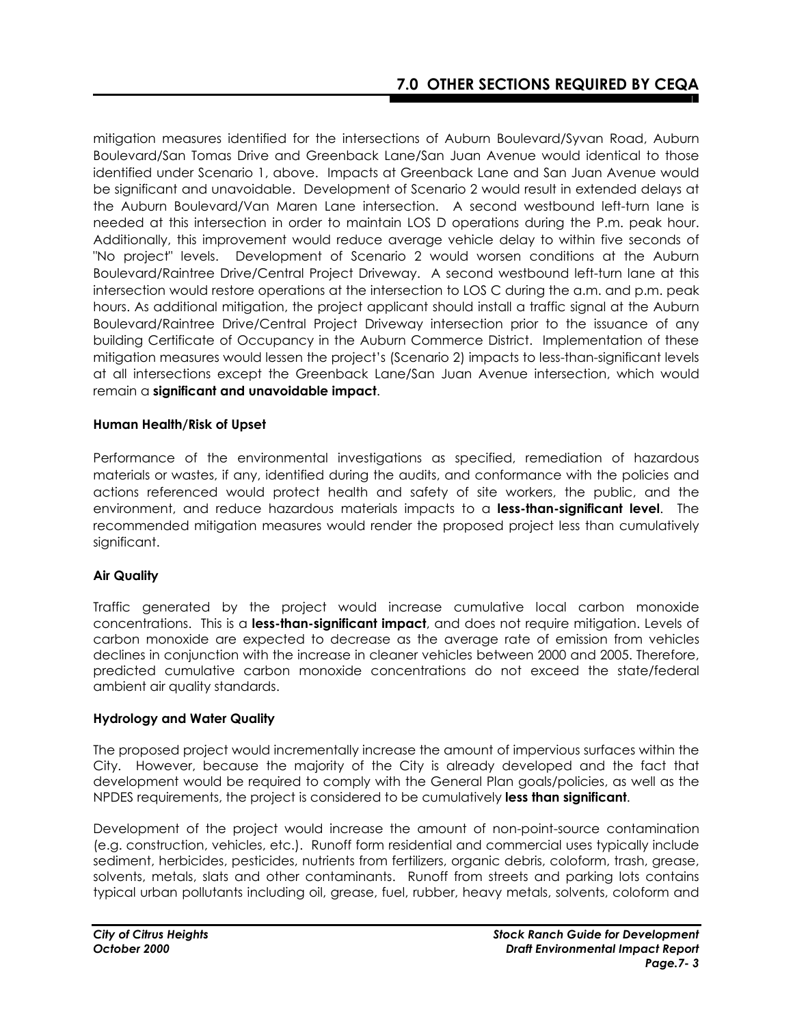mitigation measures identified for the intersections of Auburn Boulevard/Syvan Road, Auburn Boulevard/San Tomas Drive and Greenback Lane/San Juan Avenue would identical to those identified under Scenario 1, above. Impacts at Greenback Lane and San Juan Avenue would be significant and unavoidable. Development of Scenario 2 would result in extended delays at the Auburn Boulevard/Van Maren Lane intersection. A second westbound left-turn lane is needed at this intersection in order to maintain LOS D operations during the P.m. peak hour. Additionally, this improvement would reduce average vehicle delay to within five seconds of "No project" levels.Development of Scenario 2 would worsen conditions at the Auburn Boulevard/Raintree Drive/Central Project Driveway. A second westbound left-turn lane at this intersection would restore operations at the intersection to LOS C during the a.m. and p.m. peak hours. As additional mitigation, the project applicant should install a traffic signal at the Auburn Boulevard/Raintree Drive/Central Project Driveway intersection prior to the issuance of any building Certificate of Occupancy in the Auburn Commerce District. Implementation of these mitigation measures would lessen the project's (Scenario 2) impacts to less-than-significant levels at all intersections except the Greenback Lane/San Juan Avenue intersection, which would remain a **significant and unavoidable impact**.

#### **Human Health/Risk of Upset**

Performance of the environmental investigations as specified, remediation of hazardous materials or wastes, if any, identified during the audits, and conformance with the policies and actions referenced would protect health and safety of site workers, the public, and the environment, and reduce hazardous materials impacts to a **less-than-significant level**. The recommended mitigation measures would render the proposed project less than cumulatively significant.

#### **Air Quality**

Traffic generated by the project would increase cumulative local carbon monoxide concentrations. This is a **less-than-significant impact**, and does not require mitigation. Levels of carbon monoxide are expected to decrease as the average rate of emission from vehicles declines in conjunction with the increase in cleaner vehicles between 2000 and 2005. Therefore, predicted cumulative carbon monoxide concentrations do not exceed the state/federal ambient air quality standards.

#### **Hydrology and Water Quality**

The proposed project would incrementally increase the amount of impervious surfaces within the City. However, because the majority of the City is already developed and the fact that development would be required to comply with the General Plan goals/policies, as well as the NPDES requirements, the project is considered to be cumulatively **less than significant**.

Development of the project would increase the amount of non-point-source contamination (e.g. construction, vehicles, etc.). Runoff form residential and commercial uses typically include sediment, herbicides, pesticides, nutrients from fertilizers, organic debris, coloform, trash, grease, solvents, metals, slats and other contaminants. Runoff from streets and parking lots contains typical urban pollutants including oil, grease, fuel, rubber, heavy metals, solvents, coloform and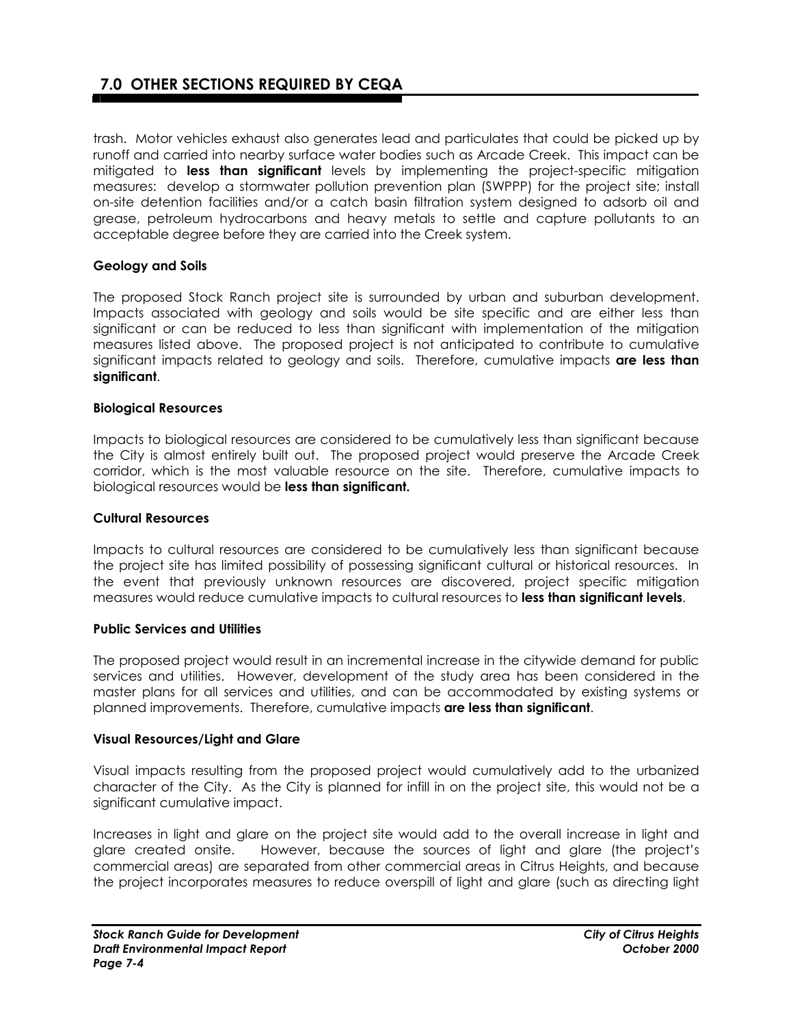trash. Motor vehicles exhaust also generates lead and particulates that could be picked up by runoff and carried into nearby surface water bodies such as Arcade Creek. This impact can be mitigated to **less than significant** levels by implementing the project-specific mitigation measures: develop a stormwater pollution prevention plan (SWPPP) for the project site; install on-site detention facilities and/or a catch basin filtration system designed to adsorb oil and grease, petroleum hydrocarbons and heavy metals to settle and capture pollutants to an acceptable degree before they are carried into the Creek system.

#### **Geology and Soils**

The proposed Stock Ranch project site is surrounded by urban and suburban development. Impacts associated with geology and soils would be site specific and are either less than significant or can be reduced to less than significant with implementation of the mitigation measures listed above. The proposed project is not anticipated to contribute to cumulative significant impacts related to geology and soils. Therefore, cumulative impacts **are less than significant**.

#### **Biological Resources**

Impacts to biological resources are considered to be cumulatively less than significant because the City is almost entirely built out. The proposed project would preserve the Arcade Creek corridor, which is the most valuable resource on the site. Therefore, cumulative impacts to biological resources would be **less than significant.** 

#### **Cultural Resources**

Impacts to cultural resources are considered to be cumulatively less than significant because the project site has limited possibility of possessing significant cultural or historical resources. In the event that previously unknown resources are discovered, project specific mitigation measures would reduce cumulative impacts to cultural resources to **less than significant levels**.

#### **Public Services and Utilities**

The proposed project would result in an incremental increase in the citywide demand for public services and utilities. However, development of the study area has been considered in the master plans for all services and utilities, and can be accommodated by existing systems or planned improvements. Therefore, cumulative impacts **are less than significant**.

#### **Visual Resources/Light and Glare**

Visual impacts resulting from the proposed project would cumulatively add to the urbanized character of the City. As the City is planned for infill in on the project site, this would not be a significant cumulative impact.

Increases in light and glare on the project site would add to the overall increase in light and glare created onsite. However, because the sources of light and glare (the project's commercial areas) are separated from other commercial areas in Citrus Heights, and because the project incorporates measures to reduce overspill of light and glare (such as directing light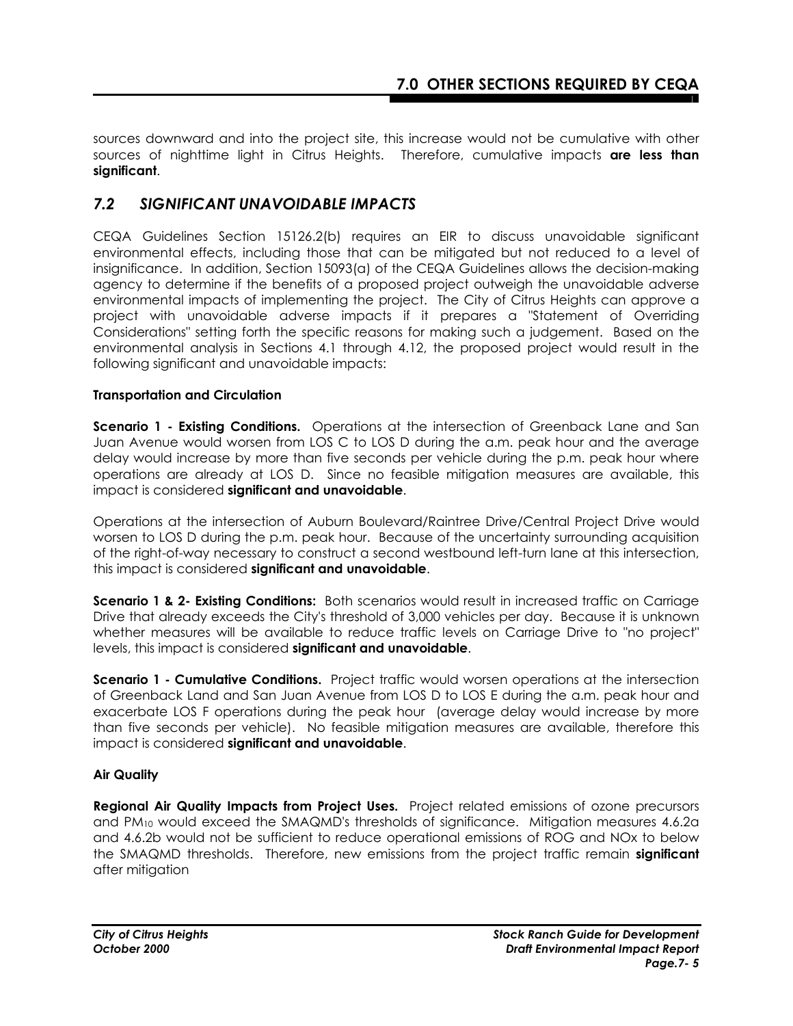sources downward and into the project site, this increase would not be cumulative with other sources of nighttime light in Citrus Heights. Therefore, cumulative impacts **are less than significant**.

## *7.2 SIGNIFICANT UNAVOIDABLE IMPACTS*

CEQA Guidelines Section 15126.2(b) requires an EIR to discuss unavoidable significant environmental effects, including those that can be mitigated but not reduced to a level of insignificance. In addition, Section 15093(a) of the CEQA Guidelines allows the decision-making agency to determine if the benefits of a proposed project outweigh the unavoidable adverse environmental impacts of implementing the project. The City of Citrus Heights can approve a project with unavoidable adverse impacts if it prepares a "Statement of Overriding Considerations" setting forth the specific reasons for making such a judgement. Based on the environmental analysis in Sections 4.1 through 4.12, the proposed project would result in the following significant and unavoidable impacts:

### **Transportation and Circulation**

**Scenario 1 - Existing Conditions.** Operations at the intersection of Greenback Lane and San Juan Avenue would worsen from LOS C to LOS D during the a.m. peak hour and the average delay would increase by more than five seconds per vehicle during the p.m. peak hour where operations are already at LOS D. Since no feasible mitigation measures are available, this impact is considered **significant and unavoidable**.

Operations at the intersection of Auburn Boulevard/Raintree Drive/Central Project Drive would worsen to LOS D during the p.m. peak hour. Because of the uncertainty surrounding acquisition of the right-of-way necessary to construct a second westbound left-turn lane at this intersection, this impact is considered **significant and unavoidable**.

**Scenario 1 & 2- Existing Conditions:** Both scenarios would result in increased traffic on Carriage Drive that already exceeds the City's threshold of 3,000 vehicles per day. Because it is unknown whether measures will be available to reduce traffic levels on Carriage Drive to "no project" levels, this impact is considered **significant and unavoidable**.

**Scenario 1 - Cumulative Conditions.** Project traffic would worsen operations at the intersection of Greenback Land and San Juan Avenue from LOS D to LOS E during the a.m. peak hour and exacerbate LOS F operations during the peak hour (average delay would increase by more than five seconds per vehicle). No feasible mitigation measures are available, therefore this impact is considered **significant and unavoidable**.

#### **Air Quality**

**Regional Air Quality Impacts from Project Uses.** Project related emissions of ozone precursors and PM10 would exceed the SMAQMD's thresholds of significance. Mitigation measures 4.6.2a and 4.6.2b would not be sufficient to reduce operational emissions of ROG and NOx to below the SMAQMD thresholds. Therefore, new emissions from the project traffic remain **significant** after mitigation